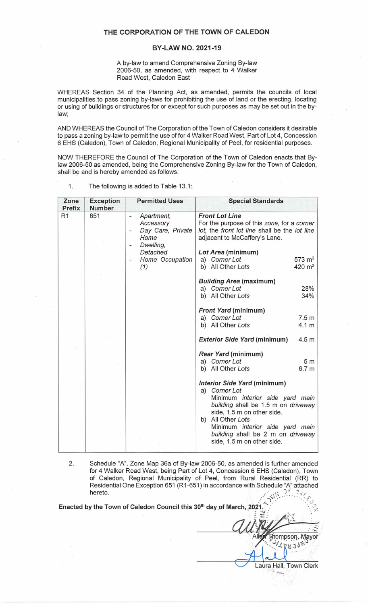## **THE CORPORATION OF THE TOWN OF CALEDON**

## **BY-LAW NO. 2021-19**

A by-law to amend Comprehensive Zoning By-law 2006-50, as amended, with respect to 4 Walker Road West, Caledon East

WHEREAS Section 34 of the Planning Act, as amended, permits the councils of local municipalities to pass zoning by-laws for prohibiting the use of land or the erecting, locating or using of buildings or structures for or except for such purposes as may be set out in the bylaw;

AND WHEREAS the Council of The Corporation of the Town of Caledon considers it desirable to pass a zoning by-law to permit the use of for 4 Walker Road West, Part of Lot 4, Concession 6 EHS (Caledon), Town of Caledon, Regional Municipality of Peel, for residential purposes.

NOW THEREFORE the Council of The Corporation of the Town of Caledon enacts that Bylaw 2006-50 as amended, being the Comprehensive Zoning By-law for the Town of Caledon, shall be and is hereby amended as follows:

| Zone<br><b>Prefix</b> | <b>Exception</b><br><b>Number</b> | <b>Permitted Uses</b>                                                               | <b>Special Standards</b>                                                                                                                                                                                                                                                            |
|-----------------------|-----------------------------------|-------------------------------------------------------------------------------------|-------------------------------------------------------------------------------------------------------------------------------------------------------------------------------------------------------------------------------------------------------------------------------------|
| R <sub>1</sub>        | 651                               | Apartment,<br>÷,<br>Accessory<br>Day Care, Private<br>Home<br>Dwelling,<br>Detached | <b>Front Lot Line</b><br>For the purpose of this zone, for a corner<br>lot, the front lot line shall be the lot line<br>adjacent to McCaffery's Lane.<br>Lot Area (minimum)                                                                                                         |
|                       |                                   | Home Occupation<br>(1)                                                              | a) Corner Lot<br>$573 \; \text{m}^2$<br>b) All Other Lots<br>$420 \; \text{m}^2$                                                                                                                                                                                                    |
|                       |                                   |                                                                                     | <b>Building Area (maximum)</b><br>a) Corner Lot<br>28%<br>b) All Other Lots<br>34%                                                                                                                                                                                                  |
|                       |                                   |                                                                                     | <b>Front Yard (minimum)</b><br>a) Corner Lot<br>7.5 <sub>m</sub><br>b) All Other Lots<br>4.1 <sub>m</sub>                                                                                                                                                                           |
|                       |                                   |                                                                                     | <b>Exterior Side Yard (minimum)</b><br>4.5 <sub>m</sub>                                                                                                                                                                                                                             |
|                       |                                   |                                                                                     | <b>Rear Yard (minimum)</b><br>a) Corner Lot<br>5 <sub>m</sub><br>b) All Other Lots<br>6.7 <sub>m</sub>                                                                                                                                                                              |
|                       |                                   |                                                                                     | Interior Side Yard (minimum)<br>a) Corner Lot<br>Minimum interior side yard main<br>building shall be 1.5 m on driveway<br>side, 1.5 m on other side.<br>All Other Lots<br>b)<br>Minimum interior side yard main<br>building shall be 2 m on driveway<br>side, 1.5 m on other side. |

1. The following is added to Table 13.1:

2. Schedule "A", Zone Map 36a of By-law 2006-50, as amended is further amended for **4** Walker Road West, being Part of Lot 4, Concession 6 EHS (Caledon), Town of Caledon, Regional Municipality of Peel, from Rural Residential (RR) to Residential One Exception 651 (R 1-651) in accordance with Schec!ule "A" attached hereto. ,/ , \ J ~ ;.,, *<sup>1</sup>* :' "):.,. ·.. .. .. .. ·.. ' f' . ~ **A\_\_** .· · . *<sup>u</sup>*

Enacted by the Town of Caledon Council this 30<sup>th</sup> day of March, 2021

 $: 1.1$  $\sum_{i=1}^{n} \frac{1}{2^{i}}$  $\frac{1}{2}$ hompson. Mayor  $\frac{6.66668}{2}$  $\overline{\phantom{a}}$ 

Laura Hall, Town Clerk